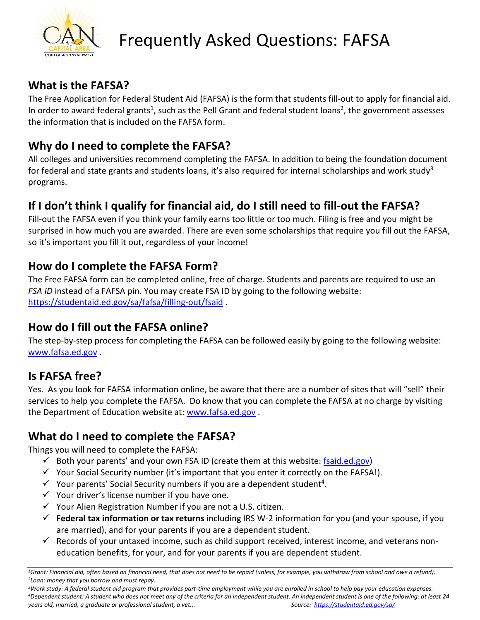

# Frequently Asked Questions: FAFSA

### **What is the FAFSA?**

The Free Application for Federal Student Aid (FAFSA) is the form that students fill-out to apply for financial aid. In order to award federal grants<sup>1</sup>, such as the Pell Grant and federal student loans<sup>2</sup>, the government assesses the information that is included on the FAFSA form.

## **Why do I need to complete the FAFSA?**

All colleges and universities recommend completing the FAFSA. In addition to being the foundation document for federal and state grants and students loans, it's also required for internal scholarships and work study<sup>3</sup> programs.

# **If I don't think I qualify for financial aid, do I still need to fill-out the FAFSA?**

Fill-out the FAFSA even if you think your family earns too little or too much. Filing is free and you might be surprised in how much you are awarded. There are even some scholarships that require you fill out the FAFSA, so it's important you fill it out, regardless of your income!

## **How do I complete the FAFSA Form?**

The Free FAFSA form can be completed online, free of charge. Students and parents are required to use an *FSA ID* instead of a FAFSA pin. You may create FSA ID by going to the following website: <https://studentaid.ed.gov/sa/fafsa/filling-out/fsaid> .

### **How do I fill out the FAFSA online?**

The step-by-step process for completing the FAFSA can be followed easily by going to the following website: [www.fafsa.ed.gov](http://www.fafsa.ed.gov/) .

### **Is FAFSA free?**

Yes. As you look for FAFSA information online, be aware that there are a number of sites that will "sell" their services to help you complete the FAFSA. Do know that you can complete the FAFSA at no charge by visiting the Department of Education website at: [www.fafsa.ed.gov](http://www.fafsa.ed.gov/) .

# **What do I need to complete the FAFSA?**

Things you will need to complete the FAFSA:

- $\checkmark$  Both your parents' and your own FSA ID (create them at this website: [fsaid.ed.gov\)](https://fsaid.ed.gov/npas/index.htm)
- $\checkmark$  Your Social Security number (it's important that you enter it correctly on the FAFSA!).
- $\checkmark$  Your parents' Social Security numbers if you are a dependent student<sup>4</sup>.
- $\checkmark$  Your driver's license number if you have one.
- $\checkmark$  Your Alien Registration Number if you are not a U.S. citizen.
- **Federal tax information or tax returns** including IRS W-2 information for you (and your spouse, if you are married), and for your parents if you are a dependent student.
- $\checkmark$  Records of your untaxed income, such as child support received, interest income, and veterans noneducation benefits, for your, and for your parents if you are dependent student.

<sup>3</sup>Work study: A federal student aid program that provides part-time employment while you are enrolled in school to help pay your education expenses.<br><sup>4</sup>Dependent student: A student who does not meet any of the criteria fo *years old, married, a graduate or professional student, a vet... Source: <https://studentaid.ed.gov/sa/>*

<sup>&</sup>lt;sup>1</sup>Grant: Financial aid, often based on financial need, that does not need to be repaid (unless, for example, you withdraw from school and owe a refund).<br><sup>2</sup>Loan: money that you borrow and must repay.